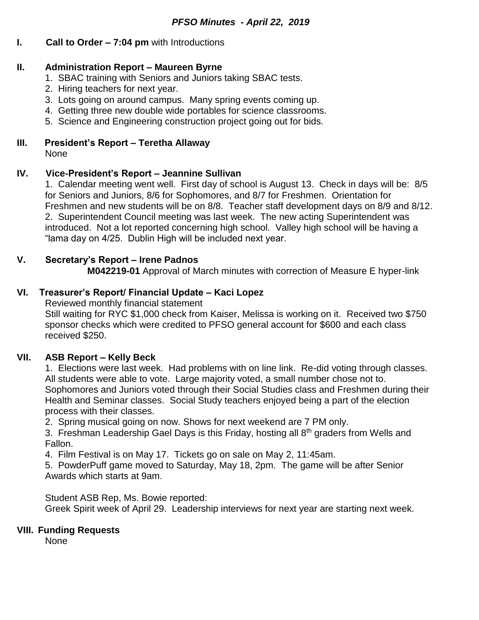## **I. Call to Order – 7:04 pm** with Introductions

### **II. Administration Report – Maureen Byrne**

- 1. SBAC training with Seniors and Juniors taking SBAC tests.
- 2. Hiring teachers for next year.
- 3. Lots going on around campus. Many spring events coming up.
- 4. Getting three new double wide portables for science classrooms.
- 5. Science and Engineering construction project going out for bids.

#### **III. President's Report – Teretha Allaway** None

### **IV. Vice-President's Report – Jeannine Sullivan**

1. Calendar meeting went well. First day of school is August 13. Check in days will be: 8/5 for Seniors and Juniors, 8/6 for Sophomores, and 8/7 for Freshmen. Orientation for Freshmen and new students will be on 8/8. Teacher staff development days on 8/9 and 8/12. 2. Superintendent Council meeting was last week. The new acting Superintendent was introduced. Not a lot reported concerning high school. Valley high school will be having a "lama day on 4/25. Dublin High will be included next year.

### **V. Secretary's Report – Irene Padnos**

**M042219-01** Approval of March minutes with correction of Measure E hyper-link

## **VI. Treasurer's Report/ Financial Update – Kaci Lopez**

Reviewed monthly financial statement Still waiting for RYC \$1,000 check from Kaiser, Melissa is working on it. Received two \$750 sponsor checks which were credited to PFSO general account for \$600 and each class received \$250.

### **VII. ASB Report – Kelly Beck**

1. Elections were last week. Had problems with on line link. Re-did voting through classes. All students were able to vote. Large majority voted, a small number chose not to. Sophomores and Juniors voted through their Social Studies class and Freshmen during their Health and Seminar classes. Social Study teachers enjoyed being a part of the election process with their classes.

2. Spring musical going on now. Shows for next weekend are 7 PM only.

3. Freshman Leadership Gael Days is this Friday, hosting all 8<sup>th</sup> graders from Wells and Fallon.

4. Film Festival is on May 17. Tickets go on sale on May 2, 11:45am.

5. PowderPuff game moved to Saturday, May 18, 2pm. The game will be after Senior Awards which starts at 9am.

Student ASB Rep, Ms. Bowie reported: Greek Spirit week of April 29. Leadership interviews for next year are starting next week.

#### **VIII. Funding Requests**

None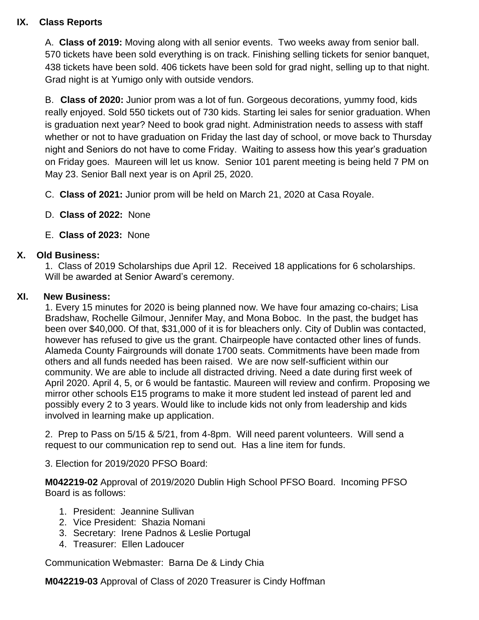# **IX. Class Reports**

A. **Class of 2019:** Moving along with all senior events. Two weeks away from senior ball. 570 tickets have been sold everything is on track. Finishing selling tickets for senior banquet, 438 tickets have been sold. 406 tickets have been sold for grad night, selling up to that night. Grad night is at Yumigo only with outside vendors.

B. **Class of 2020:** Junior prom was a lot of fun. Gorgeous decorations, yummy food, kids really enjoyed. Sold 550 tickets out of 730 kids. Starting lei sales for senior graduation. When is graduation next year? Need to book grad night. Administration needs to assess with staff whether or not to have graduation on Friday the last day of school, or move back to Thursday night and Seniors do not have to come Friday. Waiting to assess how this year's graduation on Friday goes. Maureen will let us know. Senior 101 parent meeting is being held 7 PM on May 23. Senior Ball next year is on April 25, 2020.

- C. **Class of 2021:** Junior prom will be held on March 21, 2020 at Casa Royale.
- D. **Class of 2022:** None
- E. **Class of 2023:** None

## **X. Old Business:**

1. Class of 2019 Scholarships due April 12. Received 18 applications for 6 scholarships. Will be awarded at Senior Award's ceremony.

### **XI. New Business:**

1. Every 15 minutes for 2020 is being planned now. We have four amazing co-chairs; Lisa Bradshaw, Rochelle Gilmour, Jennifer May, and Mona Boboc. In the past, the budget has been over \$40,000. Of that, \$31,000 of it is for bleachers only. City of Dublin was contacted, however has refused to give us the grant. Chairpeople have contacted other lines of funds. Alameda County Fairgrounds will donate 1700 seats. Commitments have been made from others and all funds needed has been raised. We are now self-sufficient within our community. We are able to include all distracted driving. Need a date during first week of April 2020. April 4, 5, or 6 would be fantastic. Maureen will review and confirm. Proposing we mirror other schools E15 programs to make it more student led instead of parent led and possibly every 2 to 3 years. Would like to include kids not only from leadership and kids involved in learning make up application.

2. Prep to Pass on 5/15 & 5/21, from 4-8pm. Will need parent volunteers. Will send a request to our communication rep to send out. Has a line item for funds.

3. Election for 2019/2020 PFSO Board:

**M042219-02** Approval of 2019/2020 Dublin High School PFSO Board. Incoming PFSO Board is as follows:

- 1. President: Jeannine Sullivan
- 2. Vice President: Shazia Nomani
- 3. Secretary: Irene Padnos & Leslie Portugal
- 4. Treasurer: Ellen Ladoucer

Communication Webmaster: Barna De & Lindy Chia

**M042219-03** Approval of Class of 2020 Treasurer is Cindy Hoffman